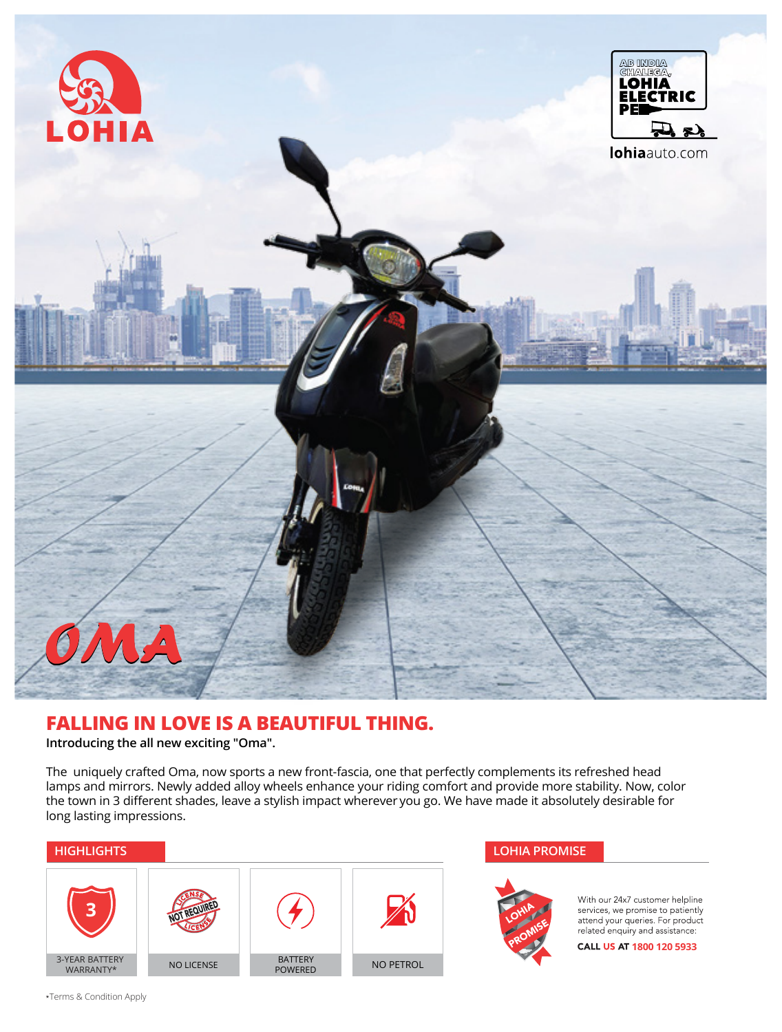

# **FALLING IN LOVE IS A BEAUTIFUL THING.**

**Introducing the all new exciting "Oma".**

The uniquely crafted Oma, now sports a new front-fascia, one that perfectly complements its refreshed head lamps and mirrors. Newly added alloy wheels enhance your riding comfort and provide more stability. Now, color the town in 3 different shades, leave a stylish impact wherever you go. We have made it absolutely desirable for long lasting impressions.





With our 24x7 customer helpline services, we promise to patiently<br>attend your queries. For product<br>related enquiry and assistance:

CALL US AT 1800 120 5933